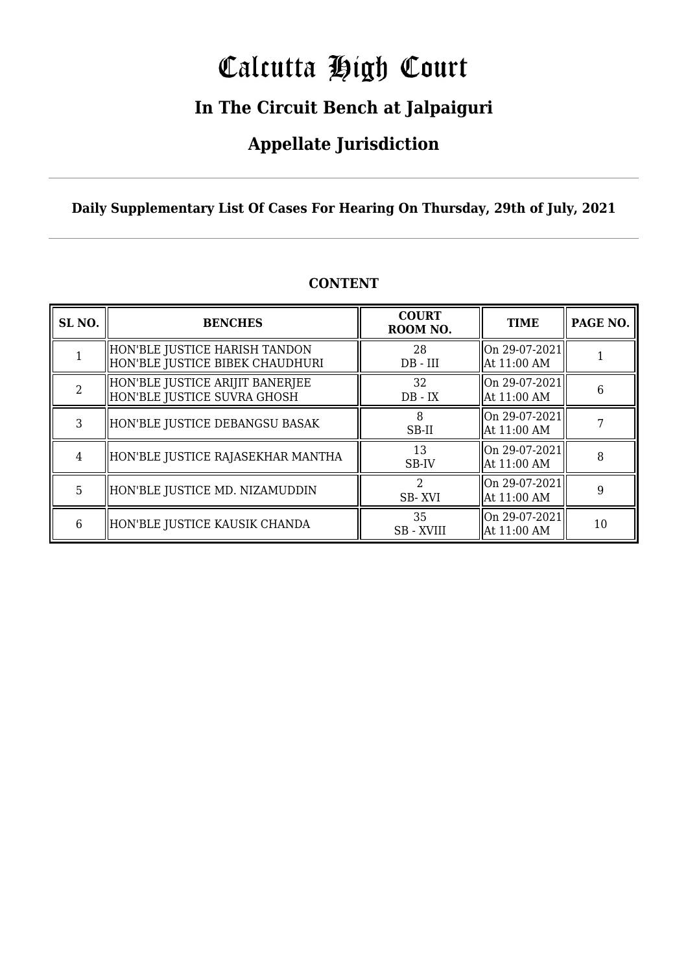# Calcutta High Court

### **In The Circuit Bench at Jalpaiguri**

### **Appellate Jurisdiction**

**Daily Supplementary List Of Cases For Hearing On Thursday, 29th of July, 2021**

| SL <sub>NO.</sub> | <b>BENCHES</b>                                                   | <b>COURT</b><br>ROOM NO. | <b>TIME</b>                      | PAGE NO. |
|-------------------|------------------------------------------------------------------|--------------------------|----------------------------------|----------|
|                   | HON'BLE JUSTICE HARISH TANDON<br>HON'BLE JUSTICE BIBEK CHAUDHURI | 28<br>$DB$ - $III$       | On 29-07-2021<br>At 11:00 AM     |          |
| $\mathcal{D}$     | HON'BLE JUSTICE ARIJIT BANERJEE<br>HON'BLE JUSTICE SUVRA GHOSH   | 32<br>$DB - IX$          | $ On 29-07-2021 $<br>At 11:00 AM | 6        |
| 3                 | HON'BLE JUSTICE DEBANGSU BASAK                                   | 8<br>SB-II               | On 29-07-2021<br>At 11:00 AM     |          |
| 4                 | HON'BLE JUSTICE RAJASEKHAR MANTHA                                | 13<br>SB-IV              | On 29-07-2021<br>At 11:00 AM     | 8        |
| 5                 | HON'BLE JUSTICE MD. NIZAMUDDIN                                   | 2<br>SB-XVI              | On 29-07-2021<br>At 11:00 AM     | 9        |
| 6                 | HON'BLE JUSTICE KAUSIK CHANDA                                    | 35<br><b>SB</b> - XVIII  | On 29-07-2021<br>At 11:00 AM     | 10       |

### **CONTENT**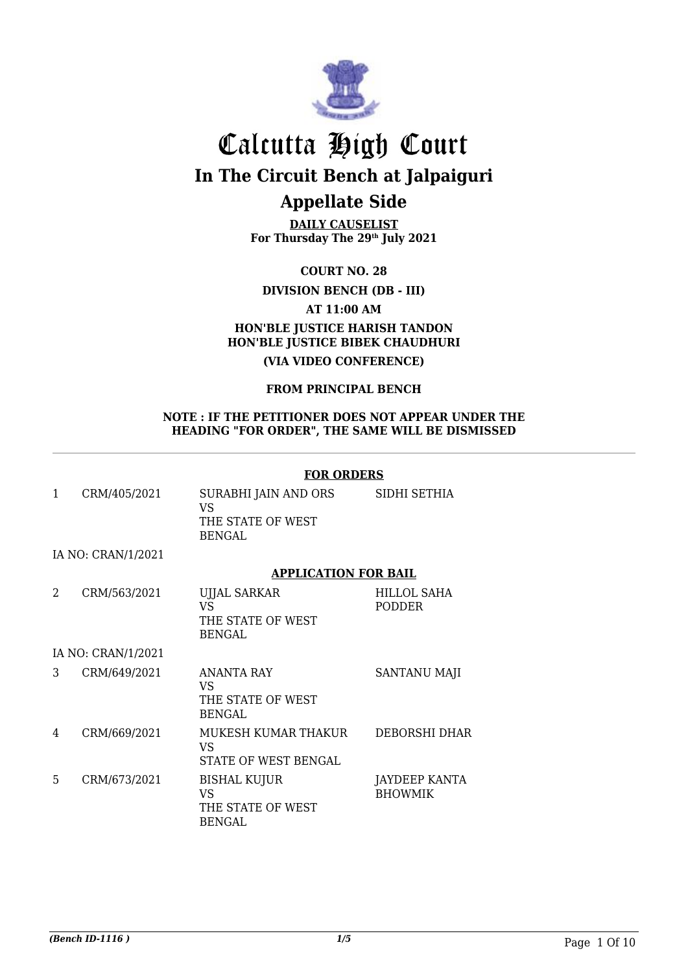

**DAILY CAUSELIST For Thursday The 29th July 2021**

**COURT NO. 28**

### **DIVISION BENCH (DB - III)**

**AT 11:00 AM**

### **HON'BLE JUSTICE HARISH TANDON HON'BLE JUSTICE BIBEK CHAUDHURI**

**(VIA VIDEO CONFERENCE)**

### **FROM PRINCIPAL BENCH**

#### **NOTE : IF THE PETITIONER DOES NOT APPEAR UNDER THE HEADING "FOR ORDER", THE SAME WILL BE DISMISSED**

#### **FOR ORDERS**

|   | CRM/405/2021       | SURABHI JAIN AND ORS<br>VS<br>THE STATE OF WEST<br>BENGAL | SIDHI SETHIA                 |
|---|--------------------|-----------------------------------------------------------|------------------------------|
|   | IA NO: CRAN/1/2021 |                                                           |                              |
|   |                    | <b>APPLICATION FOR BAIL</b>                               |                              |
| 2 | CRM/563/2021       | <b>UJJAL SARKAR</b><br>VS<br>THE STATE OF WEST            | HILLOL SAHA<br><b>PODDER</b> |

BENGAL

IA NO: CRAN/1/2021

| 3 | CRM/649/2021 | ANANTA RAY<br>VS<br>THE STATE OF WEST<br>BENGAL   | <b>SANTANU MAJI</b>             |
|---|--------------|---------------------------------------------------|---------------------------------|
| 4 | CRM/669/2021 | MUKESH KUMAR THAKUR<br>VS<br>STATE OF WEST BENGAL | DEBORSHI DHAR                   |
| 5 | CRM/673/2021 | BISHAL KUJUR<br>VS<br>THE STATE OF WEST<br>BENGAL | JAYDEEP KANTA<br><b>BHOWMIK</b> |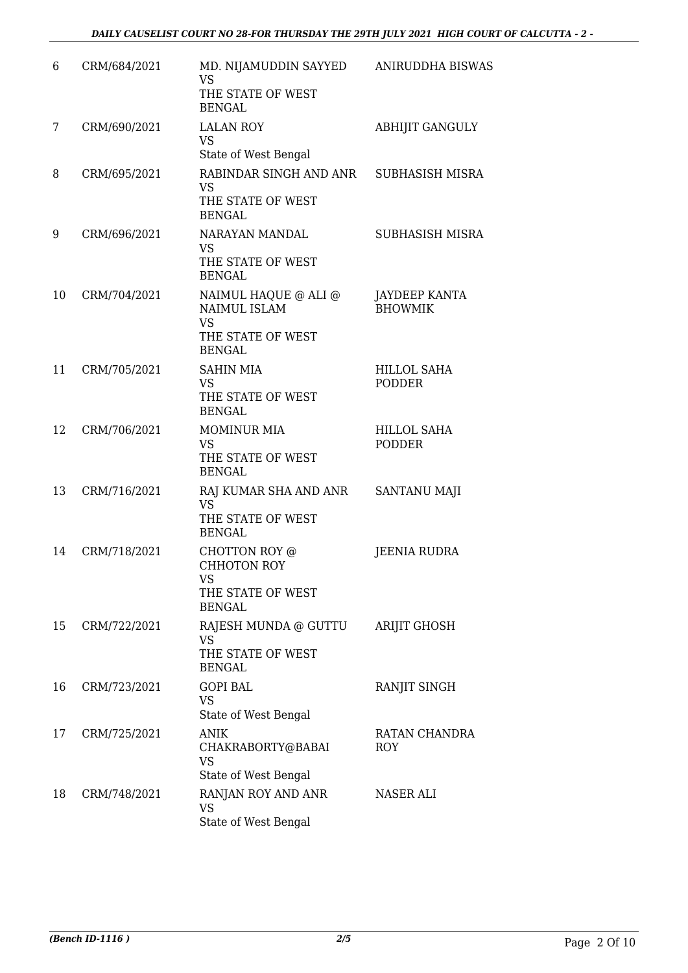| 6  | CRM/684/2021 | MD. NIJAMUDDIN SAYYED<br><b>VS</b><br>THE STATE OF WEST<br><b>BENGAL</b>                | ANIRUDDHA BISWAS                       |
|----|--------------|-----------------------------------------------------------------------------------------|----------------------------------------|
| 7  | CRM/690/2021 | <b>LALAN ROY</b><br><b>VS</b><br>State of West Bengal                                   | <b>ABHIJIT GANGULY</b>                 |
| 8  | CRM/695/2021 | RABINDAR SINGH AND ANR<br><b>VS</b><br>THE STATE OF WEST<br><b>BENGAL</b>               | SUBHASISH MISRA                        |
| 9  | CRM/696/2021 | NARAYAN MANDAL<br><b>VS</b><br>THE STATE OF WEST<br><b>BENGAL</b>                       | <b>SUBHASISH MISRA</b>                 |
| 10 | CRM/704/2021 | NAIMUL HAQUE @ ALI @<br>NAIMUL ISLAM<br><b>VS</b><br>THE STATE OF WEST<br><b>BENGAL</b> | <b>JAYDEEP KANTA</b><br><b>BHOWMIK</b> |
| 11 | CRM/705/2021 | <b>SAHIN MIA</b><br><b>VS</b><br>THE STATE OF WEST<br><b>BENGAL</b>                     | <b>HILLOL SAHA</b><br><b>PODDER</b>    |
| 12 | CRM/706/2021 | <b>MOMINUR MIA</b><br><b>VS</b><br>THE STATE OF WEST<br><b>BENGAL</b>                   | <b>HILLOL SAHA</b><br><b>PODDER</b>    |
| 13 | CRM/716/2021 | RAJ KUMAR SHA AND ANR<br><b>VS</b><br>THE STATE OF WEST<br><b>BENGAL</b>                | SANTANU MAJI                           |
| 14 | CRM/718/2021 | CHOTTON ROY @<br><b>CHHOTON ROY</b><br><b>VS</b><br>THE STATE OF WEST<br><b>BENGAL</b>  | <b>JEENIA RUDRA</b>                    |
| 15 | CRM/722/2021 | RAJESH MUNDA @ GUTTU<br><b>VS</b><br>THE STATE OF WEST<br><b>BENGAL</b>                 | ARIJIT GHOSH                           |
| 16 | CRM/723/2021 | <b>GOPI BAL</b><br><b>VS</b><br>State of West Bengal                                    | RANJIT SINGH                           |
| 17 | CRM/725/2021 | <b>ANIK</b><br>CHAKRABORTY@BABAI<br><b>VS</b><br>State of West Bengal                   | RATAN CHANDRA<br><b>ROY</b>            |
| 18 | CRM/748/2021 | RANJAN ROY AND ANR<br><b>VS</b><br>State of West Bengal                                 | <b>NASER ALI</b>                       |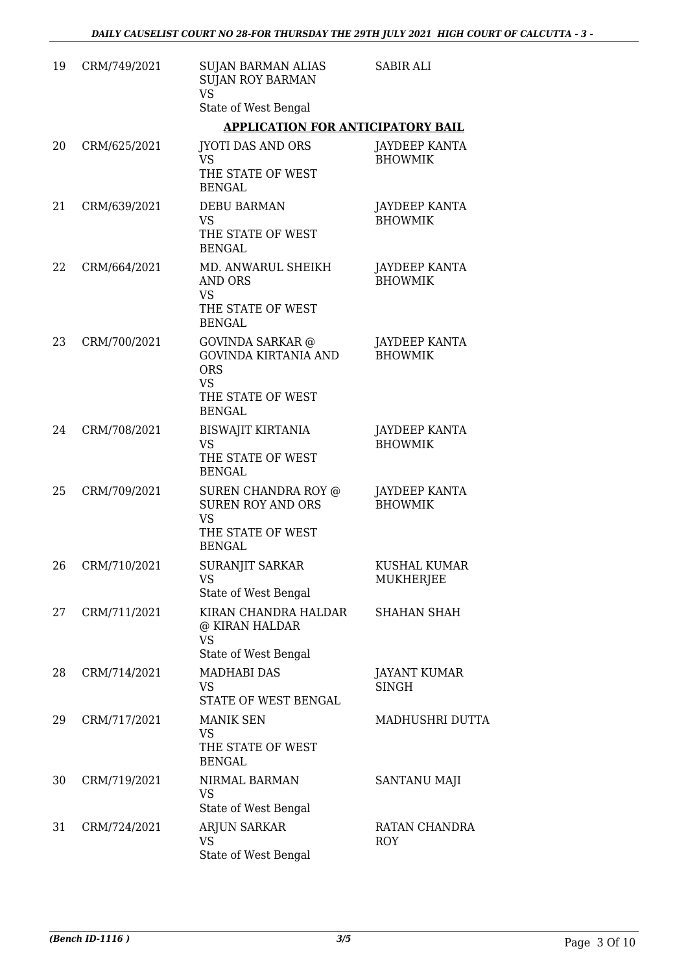| 19 | CRM/749/2021 | <b>SUJAN BARMAN ALIAS</b><br><b>SUJAN ROY BARMAN</b><br><b>VS</b>                                                       | <b>SABIR ALI</b>                       |
|----|--------------|-------------------------------------------------------------------------------------------------------------------------|----------------------------------------|
|    |              | State of West Bengal                                                                                                    |                                        |
|    |              | <b>APPLICATION FOR ANTICIPATORY BAIL</b>                                                                                |                                        |
| 20 | CRM/625/2021 | <b>JYOTI DAS AND ORS</b><br><b>VS</b><br>THE STATE OF WEST<br><b>BENGAL</b>                                             | JAYDEEP KANTA<br><b>BHOWMIK</b>        |
| 21 | CRM/639/2021 | <b>DEBU BARMAN</b><br>VS                                                                                                | JAYDEEP KANTA<br><b>BHOWMIK</b>        |
|    |              | THE STATE OF WEST<br><b>BENGAL</b>                                                                                      |                                        |
| 22 | CRM/664/2021 | MD. ANWARUL SHEIKH<br><b>AND ORS</b><br><b>VS</b><br>THE STATE OF WEST<br><b>BENGAL</b>                                 | JAYDEEP KANTA<br><b>BHOWMIK</b>        |
| 23 | CRM/700/2021 | <b>GOVINDA SARKAR</b> @<br><b>GOVINDA KIRTANIA AND</b><br><b>ORS</b><br><b>VS</b><br>THE STATE OF WEST<br><b>BENGAL</b> | <b>JAYDEEP KANTA</b><br><b>BHOWMIK</b> |
| 24 | CRM/708/2021 | <b>BISWAJIT KIRTANIA</b><br><b>VS</b><br>THE STATE OF WEST<br><b>BENGAL</b>                                             | JAYDEEP KANTA<br><b>BHOWMIK</b>        |
| 25 | CRM/709/2021 | SUREN CHANDRA ROY @<br><b>SUREN ROY AND ORS</b><br><b>VS</b><br>THE STATE OF WEST<br><b>BENGAL</b>                      | <b>JAYDEEP KANTA</b><br><b>BHOWMIK</b> |
| 26 | CRM/710/2021 | <b>SURANJIT SARKAR</b><br><b>VS</b><br>State of West Bengal                                                             | KUSHAL KUMAR<br>MUKHERJEE              |
| 27 | CRM/711/2021 | KIRAN CHANDRA HALDAR<br>@ KIRAN HALDAR<br><b>VS</b><br>State of West Bengal                                             | <b>SHAHAN SHAH</b>                     |
| 28 | CRM/714/2021 | <b>MADHABI DAS</b><br>VS<br>STATE OF WEST BENGAL                                                                        | <b>JAYANT KUMAR</b><br><b>SINGH</b>    |
| 29 | CRM/717/2021 | <b>MANIK SEN</b><br><b>VS</b><br>THE STATE OF WEST<br><b>BENGAL</b>                                                     | MADHUSHRI DUTTA                        |
| 30 | CRM/719/2021 | NIRMAL BARMAN<br>VS<br>State of West Bengal                                                                             | SANTANU MAJI                           |
| 31 | CRM/724/2021 | ARJUN SARKAR<br><b>VS</b><br>State of West Bengal                                                                       | RATAN CHANDRA<br><b>ROY</b>            |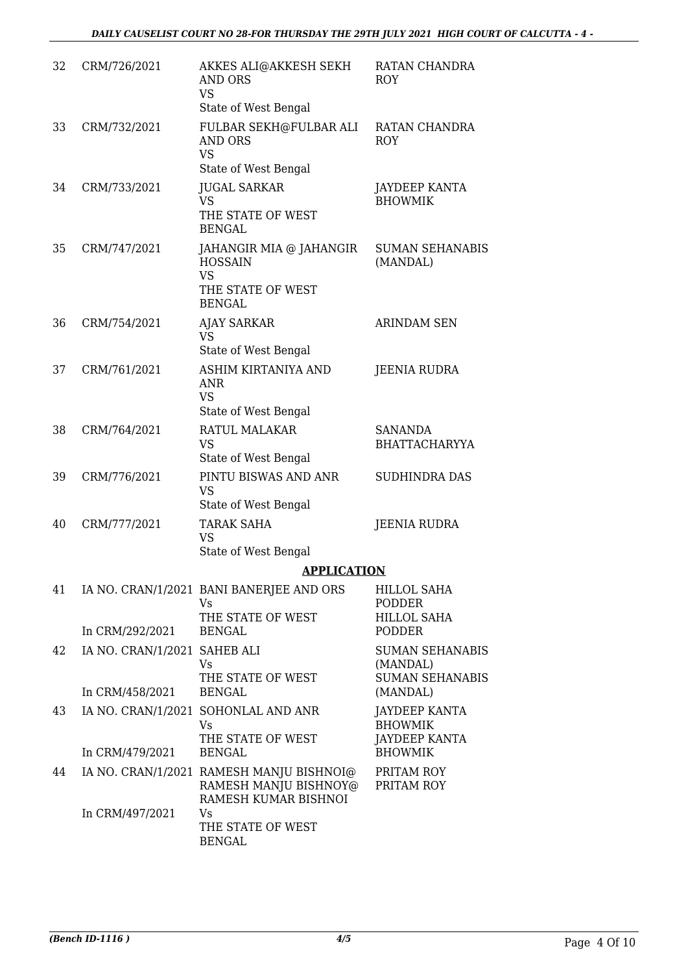| 32 | CRM/726/2021                                    | AKKES ALI@AKKESH SEKH<br><b>AND ORS</b><br><b>VS</b><br>State of West Bengal                 | RATAN CHANDRA<br>ROY                                                             |
|----|-------------------------------------------------|----------------------------------------------------------------------------------------------|----------------------------------------------------------------------------------|
| 33 | CRM/732/2021                                    | FULBAR SEKH@FULBAR ALI<br><b>AND ORS</b><br><b>VS</b><br>State of West Bengal                | RATAN CHANDRA<br>ROY                                                             |
| 34 | CRM/733/2021                                    | <b>JUGAL SARKAR</b><br><b>VS</b><br>THE STATE OF WEST<br><b>BENGAL</b>                       | JAYDEEP KANTA<br><b>BHOWMIK</b>                                                  |
| 35 | CRM/747/2021                                    | JAHANGIR MIA @ JAHANGIR<br><b>HOSSAIN</b><br><b>VS</b><br>THE STATE OF WEST<br><b>BENGAL</b> | <b>SUMAN SEHANABIS</b><br>(MANDAL)                                               |
| 36 | CRM/754/2021                                    | <b>AJAY SARKAR</b><br><b>VS</b><br>State of West Bengal                                      | <b>ARINDAM SEN</b>                                                               |
| 37 | CRM/761/2021                                    | ASHIM KIRTANIYA AND<br><b>ANR</b><br><b>VS</b><br>State of West Bengal                       | JEENIA RUDRA                                                                     |
| 38 | CRM/764/2021                                    | RATUL MALAKAR<br><b>VS</b><br>State of West Bengal                                           | SANANDA<br><b>BHATTACHARYYA</b>                                                  |
| 39 | CRM/776/2021                                    | PINTU BISWAS AND ANR<br><b>VS</b><br>State of West Bengal                                    | <b>SUDHINDRA DAS</b>                                                             |
| 40 | CRM/777/2021                                    | <b>TARAK SAHA</b><br><b>VS</b><br>State of West Bengal                                       | <b>JEENIA RUDRA</b>                                                              |
|    |                                                 | <b>APPLICATION</b>                                                                           |                                                                                  |
| 41 |                                                 | IA NO. CRAN/1/2021 BANI BANERJEE AND ORS<br><b>Vs</b><br>THE STATE OF WEST                   | HILLOL SAHA<br><b>PODDER</b><br><b>HILLOL SAHA</b>                               |
| 42 | In CRM/292/2021<br>IA NO. CRAN/1/2021 SAHEB ALI | <b>BENGAL</b><br>Vs<br>THE STATE OF WEST                                                     | <b>PODDER</b><br><b>SUMAN SEHANABIS</b><br>(MANDAL)<br><b>SUMAN SEHANABIS</b>    |
|    | In CRM/458/2021                                 | <b>BENGAL</b>                                                                                | (MANDAL)                                                                         |
| 43 | In CRM/479/2021                                 | IA NO. CRAN/1/2021 SOHONLAL AND ANR<br>Vs<br>THE STATE OF WEST<br><b>BENGAL</b>              | <b>JAYDEEP KANTA</b><br><b>BHOWMIK</b><br><b>JAYDEEP KANTA</b><br><b>BHOWMIK</b> |
| 44 |                                                 | IA NO. CRAN/1/2021 RAMESH MANJU BISHNOI@<br>RAMESH MANJU BISHNOY@<br>RAMESH KUMAR BISHNOI    | PRITAM ROY<br>PRITAM ROY                                                         |
|    | In CRM/497/2021                                 | Vs<br>THE STATE OF WEST<br><b>BENGAL</b>                                                     |                                                                                  |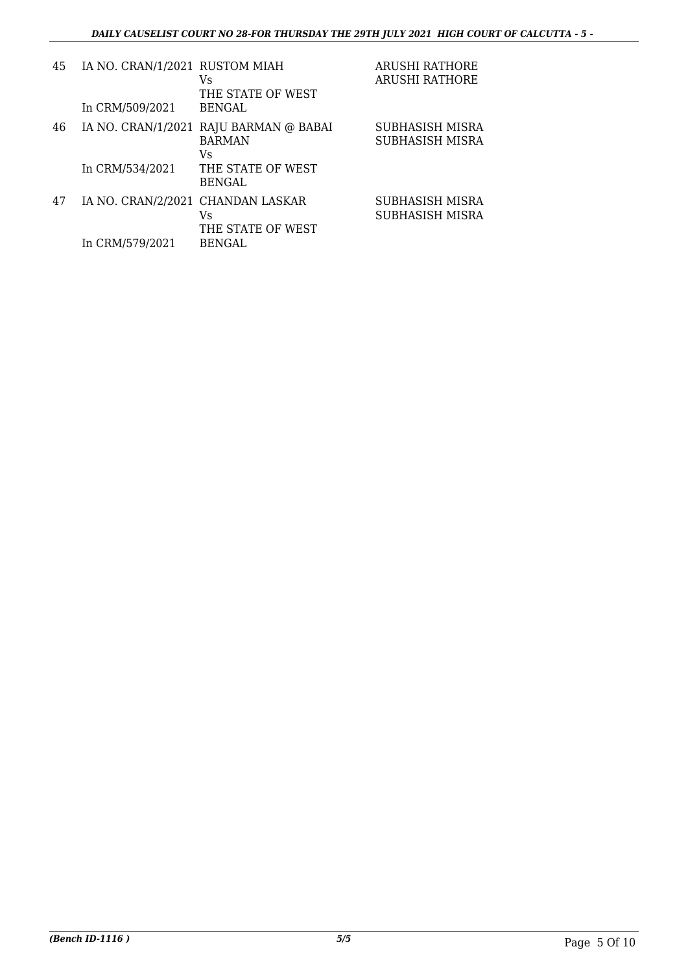| 45 | IA NO. CRAN/1/2021 RUSTOM MIAH<br>In CRM/509/2021 | Vs<br>THE STATE OF WEST<br><b>BENGAL</b>                                           | <b>ARUSHI RATHORE</b><br><b>ARUSHI RATHORE</b> |
|----|---------------------------------------------------|------------------------------------------------------------------------------------|------------------------------------------------|
| 46 | In CRM/534/2021                                   | IA NO. CRAN/1/2021 RAJU BARMAN @ BABAI<br><b>BARMAN</b><br>Vs<br>THE STATE OF WEST | <b>SUBHASISH MISRA</b><br>SUBHASISH MISRA      |
|    |                                                   | <b>BENGAL</b>                                                                      |                                                |
| 47 | IA NO. CRAN/2/2021 CHANDAN LASKAR                 | Vs<br>THE STATE OF WEST                                                            | SUBHASISH MISRA<br>SUBHASISH MISRA             |
|    | In CRM/579/2021                                   | <b>BENGAL</b>                                                                      |                                                |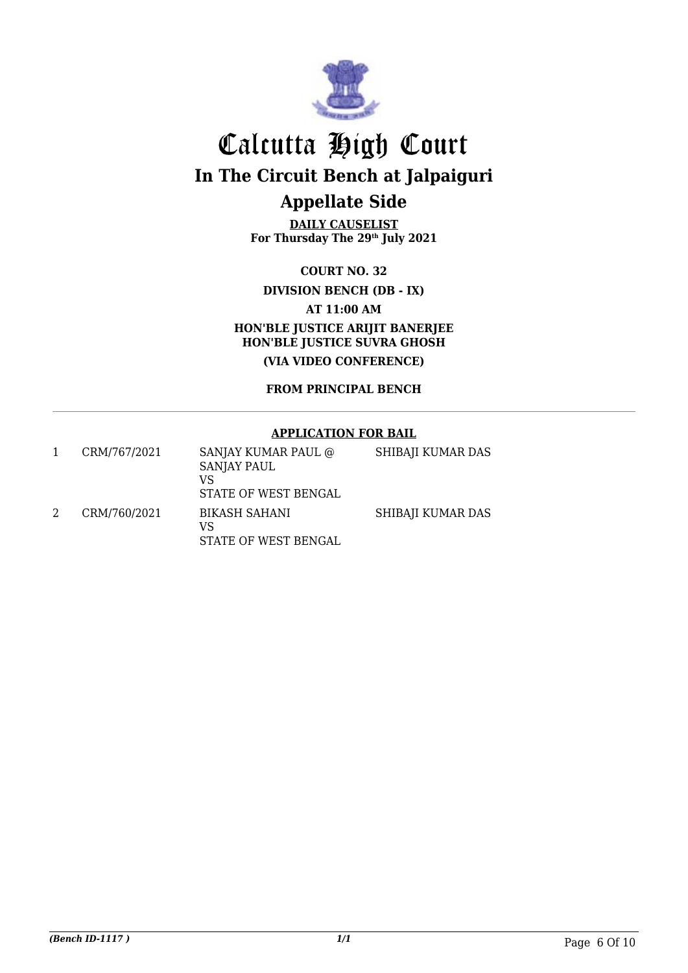

**DAILY CAUSELIST For Thursday The 29th July 2021**

**COURT NO. 32**

**DIVISION BENCH (DB - IX)**

**AT 11:00 AM**

**HON'BLE JUSTICE ARIJIT BANERJEE HON'BLE JUSTICE SUVRA GHOSH (VIA VIDEO CONFERENCE)**

**FROM PRINCIPAL BENCH**

#### **APPLICATION FOR BAIL**

| CRM/767/2021 | SANJAY KUMAR PAUL @<br><b>SANJAY PAUL</b><br>VS<br>STATE OF WEST BENGAL | SHIBAJI KUMAR DAS |
|--------------|-------------------------------------------------------------------------|-------------------|
| CRM/760/2021 | BIKASH SAHANI<br>VS<br>STATE OF WEST BENGAL                             | SHIBAJI KUMAR DAS |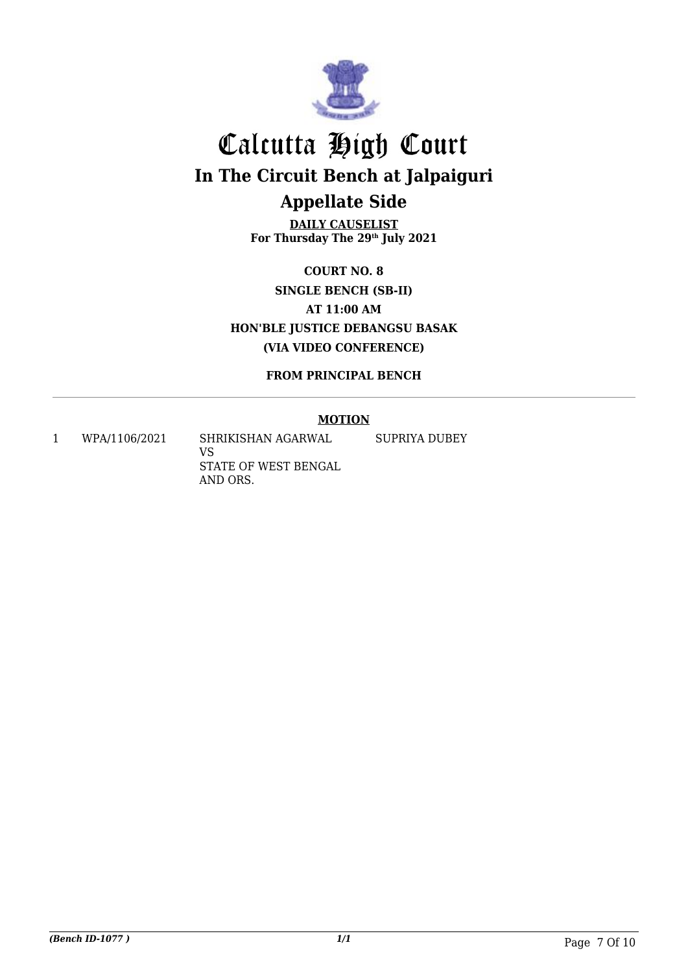

**DAILY CAUSELIST For Thursday The 29th July 2021**

**COURT NO. 8 SINGLE BENCH (SB-II) AT 11:00 AM HON'BLE JUSTICE DEBANGSU BASAK (VIA VIDEO CONFERENCE)**

**FROM PRINCIPAL BENCH**

### **MOTION**

1 WPA/1106/2021 SHRIKISHAN AGARWAL

VS STATE OF WEST BENGAL AND ORS.

SUPRIYA DUBEY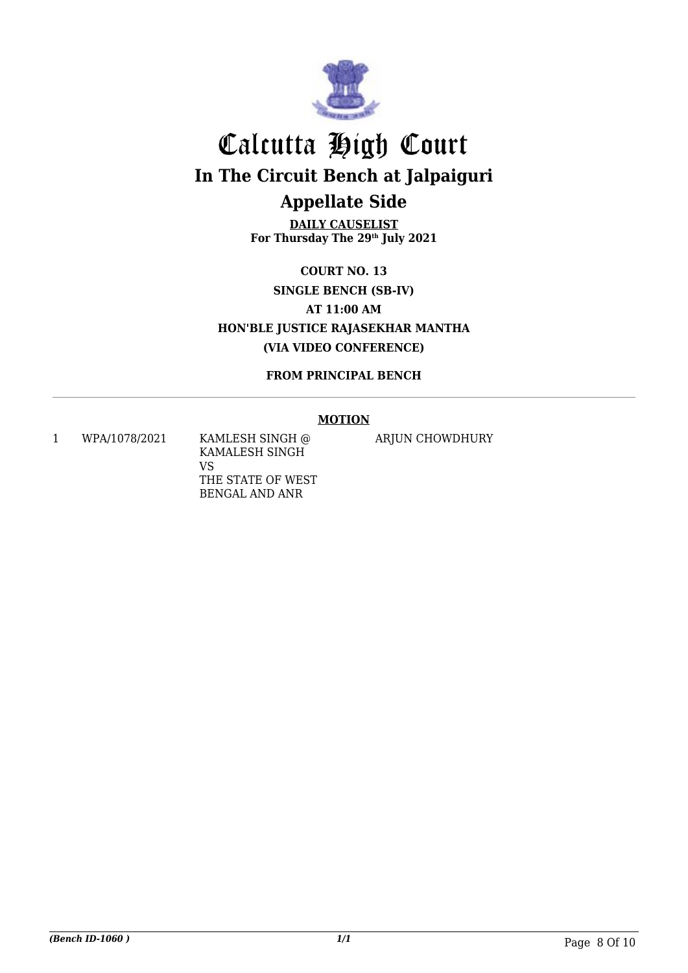

**DAILY CAUSELIST For Thursday The 29th July 2021**

**COURT NO. 13 SINGLE BENCH (SB-IV) AT 11:00 AM HON'BLE JUSTICE RAJASEKHAR MANTHA (VIA VIDEO CONFERENCE)**

**FROM PRINCIPAL BENCH**

### **MOTION**

1 WPA/1078/2021 KAMLESH SINGH @ KAMALESH SINGH VS THE STATE OF WEST BENGAL AND ANR

ARJUN CHOWDHURY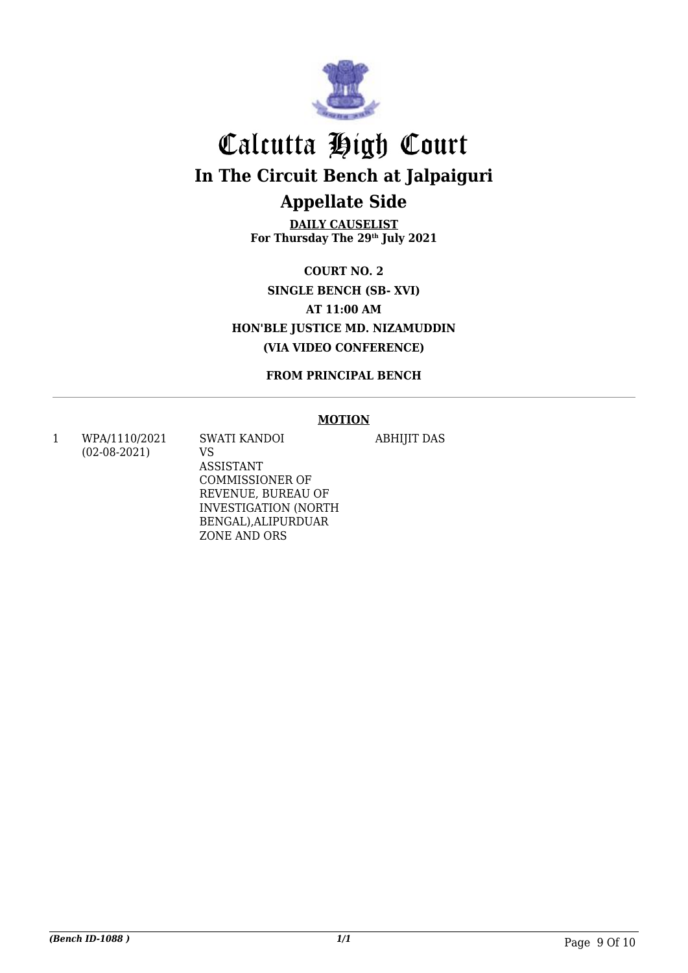

**DAILY CAUSELIST For Thursday The 29th July 2021**

**COURT NO. 2 SINGLE BENCH (SB- XVI) AT 11:00 AM HON'BLE JUSTICE MD. NIZAMUDDIN (VIA VIDEO CONFERENCE)**

**FROM PRINCIPAL BENCH**

#### **MOTION**

ABHIJIT DAS

1 WPA/1110/2021 (02-08-2021)

SWATI KANDOI VS ASSISTANT COMMISSIONER OF REVENUE, BUREAU OF INVESTIGATION (NORTH BENGAL),ALIPURDUAR ZONE AND ORS